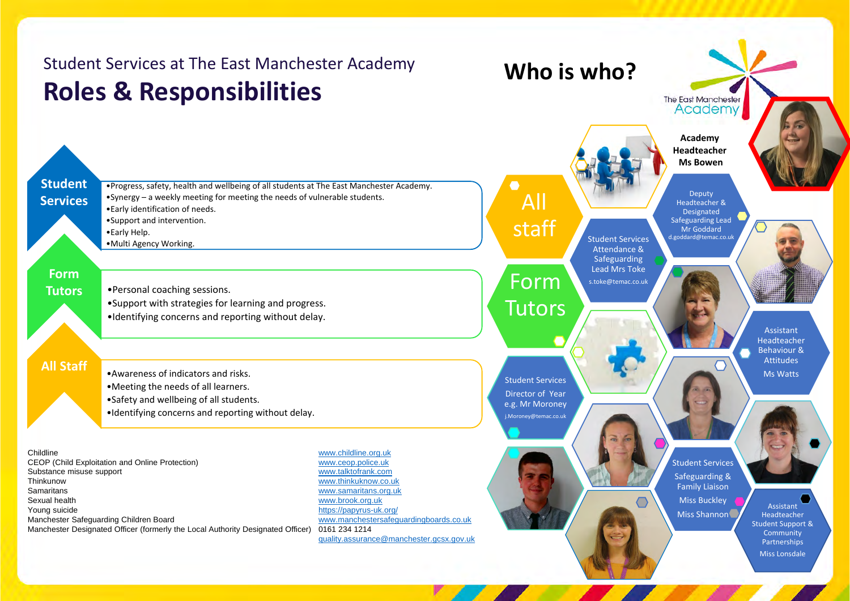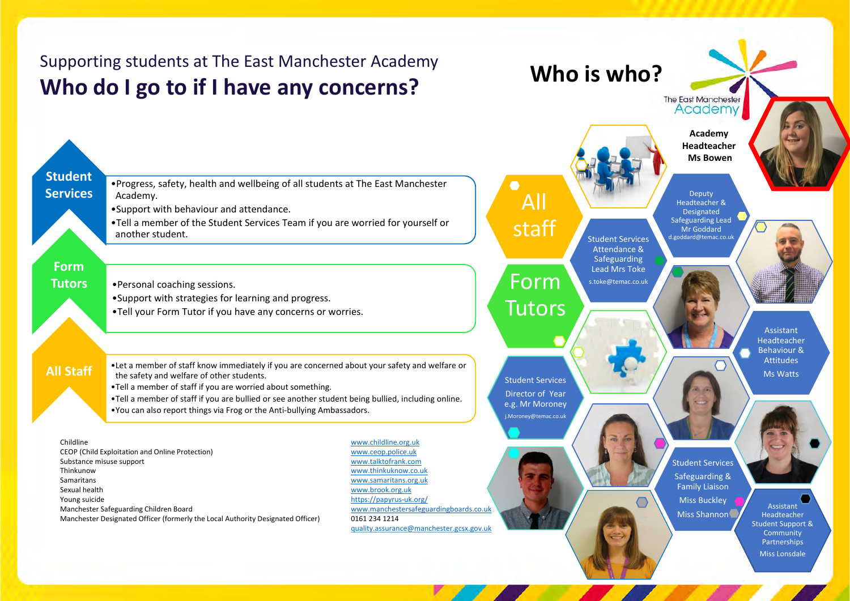